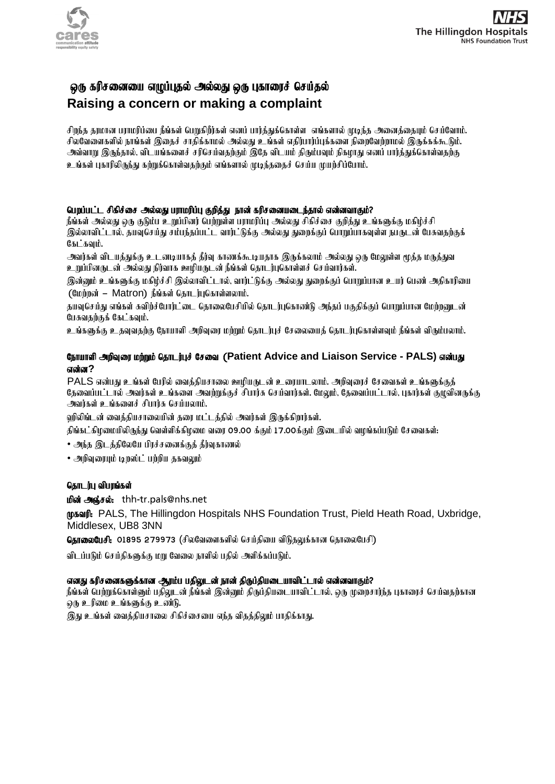

# ஓரு கரிசனையை எழுப்புதல் அல்லது ஒரு புகாரைச் செய்தல் **Raising a concern or making a complaint**

சிறந்த தரமான பராமரிப்பை நீங்கள் பெறுகிறீர்கள் எனப் பார்த்துக்கொள்ள எங்களால் முடிந்த அனைத்தையும் செய்வோம். சிலவேளைகளில் நாங்கள் இதைச் சாதிக்காமல் அல்லது உங்கள் எதிர்பார்ப்புக்களை நிறைவேற்றாமல் இருக்கக்கூடும். அவ்வாறு இருந்தால், விடயங்களைச் சரிசெய்வதற்கும் இதே விடயம் திரும்பவும் நிகழாது எனப் பார்த்துக்கொள்வதற்கு உங்கள் புகாரிலிருந்து கற்றுக்கொள்வதற்கும் எங்களால் முடிந்ததைச் செய்ய முயற்சிப்போம்.

### பெறப்பட்ட சிகிச்சை அல்லது பராமரிப்பு குறித்து நான் கரிசனையடைந்தால் என்னவாகும்?

நீங்கள் அல்லது ஒரு குடும்பு உறுப்பினர் பெற்றுள்ள பாரமரிப்பு அல்லது சிகிச்சை குறிக்து உங்களுக்கு மகிம்ச்சி இல்லாவிட்டால், தயவசெய்து சம்பந்தப்பட்ட வார்ட்டுக்கு அல்லது துறைக்குப் பொறுப்பாகவுள்ள நபருடன் பேசுவகற்குக்  $R_1$ ; $R_2$ i, $R_3$ 

அவர்கள் விடயத்துக்கு உடனடியாகத் தீர்வு காணக்கூடியதாக இருக்கலாம் அல்லது ஒரு மேலுள்ள மூத்த மருத்துவ <u>உறுப்பினருடன் அல்லது நிர்வாக ஊழியருடன் நீங்கள் தொடர்பு</u>கொள்ளச் செய்வார்கள்.

இன்னும் உங்களுக்கு மகிழ்ச்சி இல்லாவிட்டால், வார்ட்டுக்கு அல்லது துறைக்குப் பொறுப்பான உயர் பெண் அதிகாரியை  $(Gu)$ ற்றன் – Matron) நீங்கள் தொடர்புகொள்ளலாம்.

தயவுசெய்து எங்கள் சுவிற்ச்போர்ட்டை தொலைபேசியில் தொடர்புகொண்டு அந்தப் பகுதிக்குப் பொறுப்பான மேற்றனுடன் பேசுவதற்குக் கேட்கவும்.

உங்களுக்கு உதவுவதற்கு நோயாளி அறிவுரை மற்றும் தொடர்புச் சேலையைத் தொடர்புகொள்ளவும் நீங்கள் விரும்பலாம்.

## Nehahsp mwpTiu kw;Wk; njhlu;Gr; Nrit (**Patient Advice and Liaison Service - PALS)** vd;gJ **என்ன?**

 $PALS$  என்பது உங்கள் பேரில் வைத்தியசாலை ஊழியருடன் உரையாடலாம். அறிவுரைச் சேவைகள் உங்களுக்குத் தேவைப்பட்டால் அவர்கள் உங்களை அவற்றுக்குச் சிபார்சு செய்வார்கள். மேலும், தேவைப்பட்டால், புகார்கள் குழுவினருக்கு  $\theta$ anjasi உங்களைச் சிபார்சு செய்யலாம்.

ஹிலிங்டன் வைத்தியசாலையின் தரை மட்டத்தில் அவர்கள் இருக்கிறார்கள்.

திங்கட்கிழமையிலிருந்து வெள்ளிக்கிழமை வரை o9.oo க்கும் 17.ooக்கும் இடையில் வழங்கப்படும் சேவைகள்<del>.</del>

 $\bullet$  அந்த இடத்திலேயே பிரச்சனைக்குத் தீர்வுகாணல்

 $\cdot$  அறிவுரையும் டிறஸ்ட் பற்றிய தகவலும்

# தொடர்பு விபரங்கள்

**மின் அஞ்சல்:** thh-tr.pals@nhs.net

(paaf: PALS, The Hillingdon Hospitals NHS Foundation Trust, Pield Heath Road, Uxbridge, Middlesex, UB8 3NN

தொலைபேசி: 01895 279973 (சிலவேளைகளில் செய்தியை விடுதலுக்கான தொலைபேசி)

விடப்படும் செய்திகளுக்கு மறு வேலை நாளில் பதில் அளிக்கப்படும்.

### எனது கரிசனைகளுக்கான ஆரம்ப பகிலுடன் நான் கிருப்கியடையாவிட்டால் என்னவாகும்?

நீங்கள் பெற்றுக்கொள்ளும் பதிலுடன் நீங்கள் இன்னும் திருப்தியடையாவிட்டால், ஒரு முறைசார்ந்த புகாரைச் செய்வதற்கான  $\omega$  (b)  $\Omega$  from  $\Omega$  b) b) b) b) b) b) b) candidate  $\Omega$ .

இது உங்கள் வைத்தியசாலை சிகிச்சையை எந்த விதத்திலும் பாதிக்காது.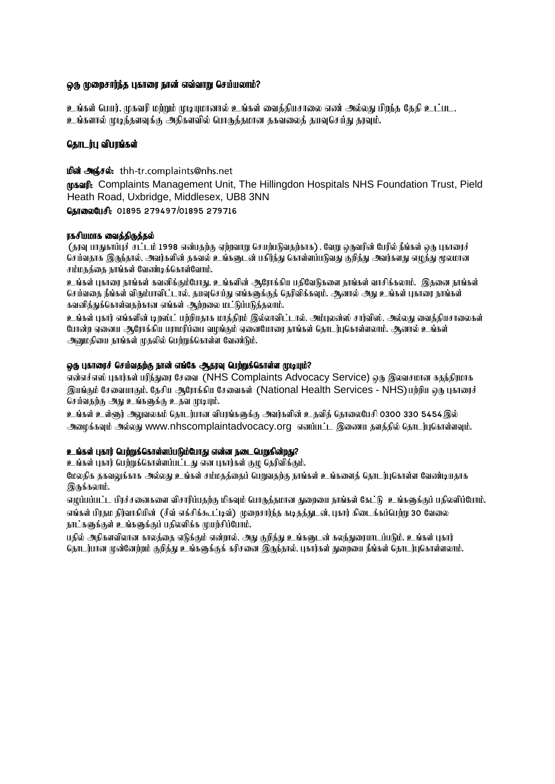## லரு முறைசார்ந்த புகாரை நான் எவ்வாறு செய்யலாம்?

<u>உங்</u>கள் பெயர், முகவரி மற்றும் முடியுமானால் உங்கள் வைக்கியசாலை எண் அல்லது பிறந்த கேதி உட்பட,  $\,$  உங்களால் முடிந்தளவுக்கு அதிகளவில் பொருக்கமான ககவலைக் கயவசெய்து காவம்.

# கொடர்ப விபாங்கள்

**மின் அஞ்சல்:** thh-tr.complaints@nhs.net (putifical Complaints Management Unit, The Hillingdon Hospitals NHS Foundation Trust, Pield Heath Road, Uxbridge, Middlesex, UB8 3NN

GansonCufl: 01895 279497/01895 279716

## ரகசியமாக வைக்கிருக்கல்

(தரவு பாதுகாப்புச் சட்டம் 1998 என்பதற்கு ஏற்றவாறு செயற்படுவதற்காக) , வேறு ஒருவரின் பேரில் நீங்கள் ஒரு புகாரைச் செய்வதாக இருந்தால், அவர்களின் தகவல் உங்களுடன் பகிர்ந்து கொள்ளப்படுவது குறித்து அவர்களது எழுத்து மூலமான சம்மகக்கை நாங்கள் வேண்டிக்கொள்வோம்.

உங்கள் பகாரை நாங்கள் கவனிக்கும்போகு, உங்களின் ஆரோக்கிய பகிவேடுகளை நாங்கள் வாசிக்கலாம். இகனை நாங்கள் செய்வதை நீங்கள் விரும்பாவிட்டால், தயவுசெய்து எங்களுக்குத் தெரிவிக்கவும். ஆனால் அது உங்கள் புகாரை நாங்கள்  $\epsilon$ வனித்துக்கொள்வதற்கான எங்கள் ஆற்றலை மட்டுப்படுத்தலாம்.

உங்கள் புகார் எங்களின் டிறஸ்ட் பற்றியதாக மாத்திரம் இல்லாவிட்டால், அம்புலன்ஸ் சார்விஸ், அல்லது வைத்தியசாலைகள் போன்ற ஏனைய ஆரோக்கிய பராமரிப்பை வமங்கும் ஏனையோரை நாங்கள் தொடர்புகொள்ளலாம். ஆனால் உங்கள் அனுமதியை நாங்கள் முதலில் பெற்றுக்கொள்ள வேண்டும்.

## @ரு புகாரைச் செய்வதற்கு நான் எங்கே ஆதரவு பெற்றுக்கொள்ள முடியும்?

என்எச்எஸ் புகார்கள் பரிந்துரை சேவை (NHS Complaints Advocacy Service) ஒரு இலவசமான சுதந்திரமாக இயங்கும் சேவையாகும். தேசிய ஆரோக்கிய சேவைகள் (National Health Services - NHS)பற்றிய ஒரு புகாரைச் செய்வதற்கு அது உங்களுக்கு உதவ முடியும்.

உங்கள் உள்ளூர் அலுவலகம் தொடர்பான விபரங்களுக்கு அவர்களின் உதவித் தொலைபேசி o3oo 33o 5454இல் ூழைக்கவும் அல்லது www.nhscomplaintadvocacy.org எனப்பட்ட இணைய தளத்தில் தொடர்புகொள்ளவும்.

# <u>உங்</u>கள் புகார் பெற்றுக்கொள்ளப்படும்போது என்ன நடைபெறுகின்றது?

உங்கள் புகார் பெற்றுக்கொள்ளப்பட்டது என புகார்கள் குழு தெரிவிக்கும்.

மேலகிக ககவலுக்காக அல்லது உங்கள் சம்மதத்தைப் பெறுவதற்கு நாங்கள் உங்களைத் தொடர்புகொள்ள வேண்டியதாக  $\mathfrak{A}_0$ நக்கலாம்.

எழுப்பப்பட்ட பிரச்சனைகளை விசாரிப்பதற்கு மிகவும் பொருத்தமான துறையை நாங்கள் கேட்டு உங்களுக்குப் பதிலளிப்போம். எங்கள் பிரதம நிர்வாகியின் (சீவ் எக்சிக்கூட்டிவ்) முறைசார்ந்த கடிதத்துடன், புகார் கிடைக்கப்பெற்று 30 வேலை நாட்களுக்குள் உங்களுக்குப் பதிலளிக்க முயற்சிப்போம்.

பகில் அகிகளவிலான காலக்கை எடுக்கும் என்றால், அது குறிக்கு உங்களுடன் கலந்துரையாடப்படும். உங்கள் பகார் கொடர்பான முன்னேற்றம் குறிக்கு உங்களுக்குக் கரிசனை இருந்தால், பகார்கள் சுறையை நீங்கள் கொடர்பகொள்ளலாம்.